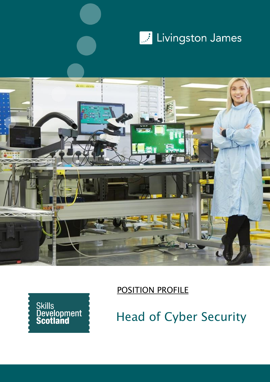





POSITION PROFILE

Head of Cyber Security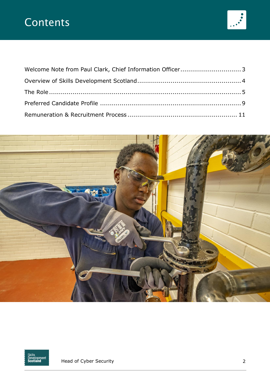# **Contents**





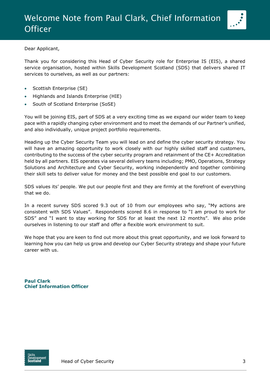

<span id="page-2-0"></span>Dear Applicant,

Thank you for considering this Head of Cyber Security role for Enterprise IS (EIS), a shared service organisation, hosted within Skills Development Scotland (SDS) that delivers shared IT services to ourselves, as well as our partners:

- Scottish Enterprise (SE)
- Highlands and Islands Enterprise (HIE)
- South of Scotland Enterprise (SoSE)

You will be joining EIS, part of SDS at a very exciting time as we expand our wider team to keep pace with a rapidly changing cyber environment and to meet the demands of our Partner's unified, and also individually, unique project portfolio requirements.

Heading up the Cyber Security Team you will lead on and define the cyber security strategy. You will have an amazing opportunity to work closely with our highly skilled staff and customers, contributing to the success of the cyber security program and retainment of the CE+ Accreditation held by all partners. EIS operates via several delivery teams including; PMO, Operations, Strategy Solutions and Architecture and Cyber Security, working independently and together combining their skill sets to deliver value for money and the best possible end goal to our customers.

SDS values its' people. We put our people first and they are firmly at the forefront of everything that we do.

In a recent survey SDS scored 9.3 out of 10 from our employees who say, "My actions are consistent with SDS Values". Respondents scored 8.6 in response to "I am proud to work for SDS" and "I want to stay working for SDS for at least the next 12 months". We also pride ourselves in listening to our staff and offer a flexible work environment to suit.

We hope that you are keen to find out more about this great opportunity, and we look forward to learning how you can help us grow and develop our Cyber Security strategy and shape your future career with us.

**Paul Clark Chief Information Officer**

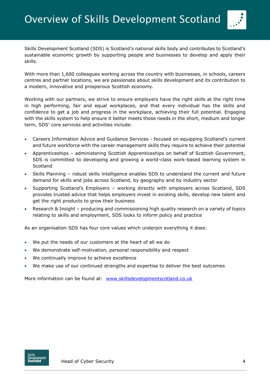

<span id="page-3-0"></span>Skills Development Scotland (SDS) is Scotland's national skills body and contributes to Scotland's sustainable economic growth by supporting people and businesses to develop and apply their skills.

With more than 1,600 colleagues working across the country with businesses, in schools, careers centres and partner locations, we are passionate about skills development and its contribution to a modern, innovative and prosperous Scottish economy.

Working with our partners, we strive to ensure employers have the right skills at the right time in high performing, fair and equal workplaces, and that every individual has the skills and confidence to get a job and progress in the workplace, achieving their full potential. Engaging with the skills system to help ensure it better meets those needs in the short, medium and longer term, SDS' core services and activities include:

- Careers Information Advice and Guidance Services focused on equipping Scotland's current and future workforce with the career management skills they require to achieve their potential
- Apprenticeships administering Scottish Apprenticeships on behalf of Scottish Government, SDS is committed to developing and growing a world-class work-based learning system in **Scotland**
- Skills Planning robust skills intelligence enables SDS to understand the current and future demand for skills and jobs across Scotland, by geography and by industry sector
- Supporting Scotland's Employers working directly with employers across Scotland, SDS provides trusted advice that helps employers invest in existing skills, develop new talent and get the right products to grow their business
- Research & Insight producing and commissioning high quality research on a variety of topics relating to skills and employment, SDS looks to inform policy and practice

As an organisation SDS has four core values which underpin everything it does:

- We put the needs of our customers at the heart of all we do
- We demonstrate self-motivation, personal responsibility and respect
- We continually improve to achieve excellence
- We make use of our continued strengths and expertise to deliver the best outcomes

More information can be found at: [www.skillsdevelopmentscotland.co.uk](http://www.skillsdevelopmentscotland.co.uk/)

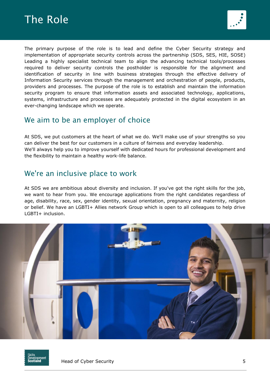<span id="page-4-0"></span>



The primary purpose of the role is to lead and define the Cyber Security strategy and implementation of appropriate security controls across the partnership (SDS, SES, HIE, SOSE) Leading a highly specialist technical team to align the advancing technical tools/processes required to deliver security controls the postholder is responsible for the alignment and identification of security in line with business strategies through the effective delivery of Information Security services through the management and orchestration of people, products, providers and processes. The purpose of the role is to establish and maintain the information security program to ensure that information assets and associated technology, applications, systems, infrastructure and processes are adequately protected in the digital ecosystem in an ever-changing landscape which we operate.

## We aim to be an employer of choice

At SDS, we put customers at the heart of what we do. We'll make use of your strengths so you can deliver the best for our customers in a culture of fairness and everyday leadership. We'll always help you to improve yourself with dedicated hours for professional development and the flexibility to maintain a healthy work-life balance.

## We're an inclusive place to work

At SDS we are ambitious about diversity and inclusion. If you've got the right skills for the job, we want to hear from you. We encourage applications from the right candidates regardless of age, disability, race, sex, gender identity, sexual orientation, pregnancy and maternity, religion or belief. We have an LGBTI+ Allies network Group which is open to all colleagues to help drive LGBTI+ inclusion.



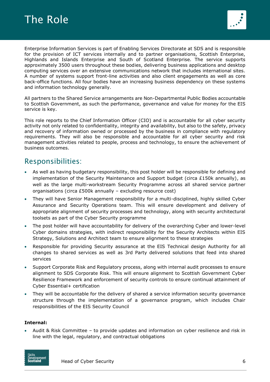



Enterprise Information Services is part of Enabling Services Directorate at SDS and is responsible for the provision of ICT services internally and to partner organisations, Scottish Enterprise, Highlands and Islands Enterprise and South of Scotland Enterprise. The service supports approximately 3500 users throughout these bodies, delivering business applications and desktop computing services over an extensive communications network that includes international sites. A number of systems support front-line activities and also client engagements as well as core back-office functions. All four bodies have an increasing business dependency on these systems and information technology generally.

All partners to the Shared Service arrangements are Non-Departmental Public Bodies accountable to Scottish Government, as such the performance, governance and value for money for the EIS service is key.

This role reports to the Chief Information Officer (CIO) and is accountable for all cyber security activity not only related to confidentiality, integrity and availability, but also to the safety, privacy and recovery of information owned or processed by the business in compliance with regulatory requirements. They will also be responsible and accountable for all cyber security and risk management activities related to people, process and technology, to ensure the achievement of business outcomes.

## Responsibilities:

- As well as having budgetary responsibility, this post holder will be responsible for defining and implementation of the Security Maintenance and Support budget (circa £150k annually), as well as the large multi-workstream Security Programme across all shared service partner organisations (circa £500k annually – excluding resource cost)
- They will have Senior Management responsibility for a multi-disciplined, highly skilled Cyber Assurance and Security Operations team. This will ensure development and delivery of appropriate alignment of security processes and technology, along with security architectural toolsets as part of the Cyber Security programme
- The post holder will have accountability for delivery of the overarching Cyber and lower-level Cyber domains strategies, with indirect responsibility for the Security Architects within EIS Strategy, Solutions and Architect team to ensure alignment to these strategies
- Responsible for providing Security assurance at the EIS Technical design Authority for all changes to shared services as well as 3rd Party delivered solutions that feed into shared services
- Support Corporate Risk and Regulatory process, along with internal audit processes to ensure alignment to SDS Corporate Risk. This will ensure alignment to Scottish Government Cyber Resilience Framework and enforcement of security controls to ensure continual attainment of Cyber Essential+ certification
- They will be accountable for the delivery of shared a service information security governance structure through the implementation of a governance program, which includes Chair responsibilities of the EIS Security Council

#### **Internal:**

• Audit & Risk Committee – to provide updates and information on cyber resilience and risk in line with the legal, regulatory, and contractual obligations

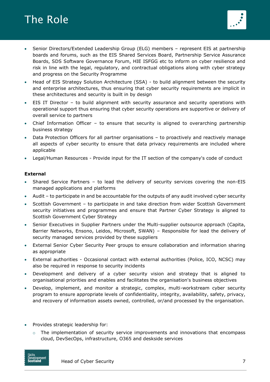

- Senior Directors/Extended Leadership Group (ELG) members represent EIS at partnership boards and forums, such as the EIS Shared Services Board, Partnership Service Assurance Boards, SDS Software Governance Forum, HIE ISFGG etc to inform on cyber resilience and risk in line with the legal, regulatory, and contractual obligations along with cyber strategy and progress on the Security Programme
- Head of EIS Strategy Solution Architecture (SSA) to build alignment between the security and enterprise architectures, thus ensuring that cyber security requirements are implicit in these architectures and security is built in by design
- EIS IT Director to build alignment with security assurance and security operations with operational support thus ensuring that cyber security operations are supportive or delivery of overall service to partners
- Chief Information Officer to ensure that security is aligned to overarching partnership business strategy
- Data Protection Officers for all partner organisations to proactively and reactively manage all aspects of cyber security to ensure that data privacy requirements are included where applicable
- Legal/Human Resources Provide input for the IT section of the company's code of conduct

#### **External**

- Shared Service Partners to lead the delivery of security services covering the non-EIS managed applications and platforms
- Audit to participate in and be accountable for the outputs of any audit involved cyber security
- Scottish Government to participate in and take direction from wider Scottish Government security initiatives and programmes and ensure that Partner Cyber Strategy is aligned to Scottish Government Cyber Strategy
- Senior Executives in Supplier Partners under the Multi-supplier outsource approach (Capita, Barrier Networks, Ensono, Leidos, Microsoft, SWAN) – Responsible for lead the delivery of security managed services provided by these suppliers
- External Senior Cyber Security Peer groups to ensure collaboration and information sharing as appropriate
- External authorities Occasional contact with external authorities (Police, ICO, NCSC) may also be required in response to security incidents
- Development and delivery of a cyber security vision and strategy that is aligned to organisational priorities and enables and facilitates the organisation's business objectives
- Develop, implement, and monitor a strategic, complex, multi-workstream cyber security program to ensure appropriate levels of confidentiality, integrity, availability, safety, privacy, and recovery of information assets owned, controlled, or/and processed by the organisation.
- Provides strategic leadership for:
	- $\circ$  The implementation of security service improvements and innovations that encompass cloud, DevSecOps, infrastructure, O365 and deskside services



Head of Cyber Security 7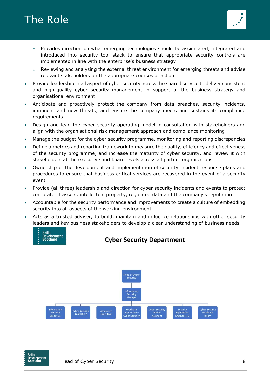



- $\circ$  Provides direction on what emerging technologies should be assimilated, integrated and introduced into security tool stack to ensure that appropriate security controls are implemented in line with the enterprise's business strategy
- o Reviewing and analysing the external threat environment for emerging threats and advise relevant stakeholders on the appropriate courses of action
- Provide leadership in all aspect of cyber security across the shared service to deliver consistent and high-quality cyber security management in support of the business strategy and organisational environment
- Anticipate and proactively protect the company from data breaches, security incidents, imminent and new threats, and ensure the company meets and sustains its compliance requirements
- Design and lead the cyber security operating model in consultation with stakeholders and align with the organisational risk management approach and compliance monitoring
- Manage the budget for the cyber security programme, monitoring and reporting discrepancies
- Define a metrics and reporting framework to measure the quality, efficiency and effectiveness of the security programme, and increase the maturity of cyber security, and review it with stakeholders at the executive and board levels across all partner organisations
- Ownership of the development and implementation of security incident response plans and procedures to ensure that business-critical services are recovered in the event of a security event
- Provide (all three) leadership and direction for cyber security incidents and events to protect corporate IT assets, intellectual property, regulated data and the company's reputation
- Accountable for the security performance and improvements to create a culture of embedding security into all aspects of the working environment
- Acts as a trusted adviser, to build, maintain and influence relationships with other security leaders and key business stakeholders to develop a clear understanding of business needs



### **Cyber Security Department**



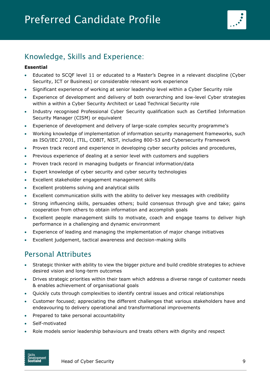<span id="page-8-0"></span>

# Knowledge, Skills and Experience:

### **Essential**

- Educated to SCQF level 11 or educated to a Master's Degree in a relevant discipline (Cyber Security, ICT or Business) or considerable relevant work experience
- Significant experience of working at senior leadership level within a Cyber Security role
- Experience of development and delivery of both overarching and low-level Cyber strategies within a within a Cyber Security Architect or Lead Technical Security role
- Industry recognised Professional Cyber Security qualification such as Certified Information Security Manager (CISM) or equivalent
- Experience of development and delivery of large-scale complex security programme's
- Working knowledge of implementation of information security management frameworks, such as ISO/IEC 27001, ITIL, COBIT, NIST, including 800-53 and Cybersecurity Framework
- Proven track record and experience in developing cyber security policies and procedures,
- Previous experience of dealing at a senior level with customers and suppliers
- Proven track record in managing budgets or financial information/data
- Expert knowledge of cyber security and cyber security technologies
- Excellent stakeholder engagement management skills
- Excellent problems solving and analytical skills
- Excellent communication skills with the ability to deliver key messages with credibility
- Strong influencing skills, persuades others; build consensus through give and take; gains cooperation from others to obtain information and accomplish goals
- Excellent people management skills to motivate, coach and engage teams to deliver high performance in a challenging and dynamic environment
- Experience of leading and managing the implementation of major change initiatives
- Excellent judgement, tactical awareness and decision-making skills

# Personal Attributes

- Strategic thinker with ability to view the bigger picture and build credible strategies to achieve desired vision and long-term outcomes
- Drives strategic priorities within their team which address a diverse range of customer needs & enables achievement of organisational goals
- Quickly cuts through complexities to identify central issues and critical relationships
- Customer focused; appreciating the different challenges that various stakeholders have and endeavouring to delivery operational and transformational improvements
- Prepared to take personal accountability
- Self-motivated
- Role models senior leadership behaviours and treats others with dignity and respect



Head of Cyber Security 9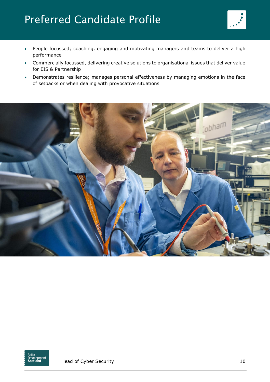# Preferred Candidate Profile



- People focussed; coaching, engaging and motivating managers and teams to deliver a high performance
- Commercially focussed, delivering creative solutions to organisational issues that deliver value for EIS & Partnership
- Demonstrates resilience; manages personal effectiveness by managing emotions in the face of setbacks or when dealing with provocative situations